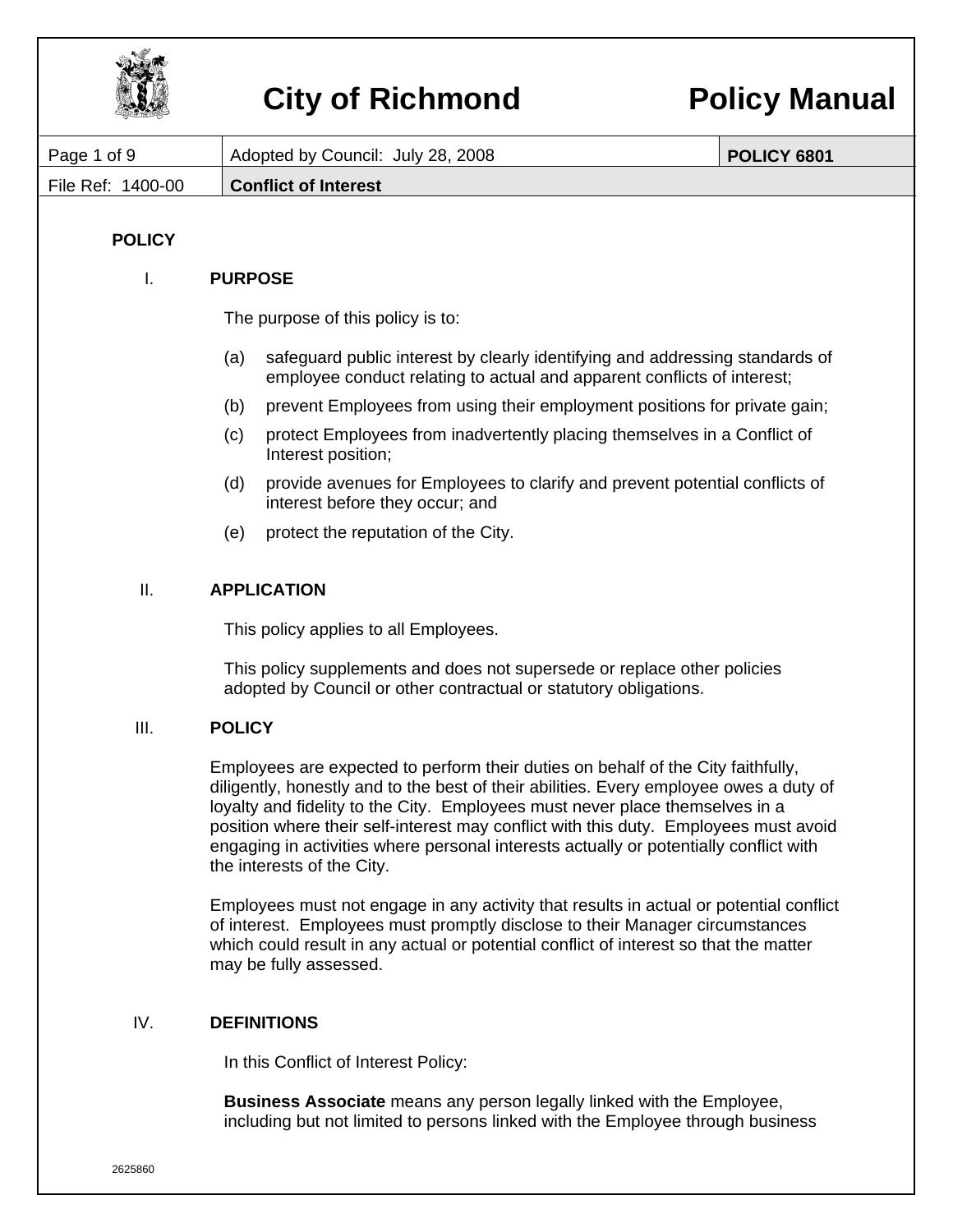

|                   |                | VILY VI INVIIIIVIIM                                                                                                                                                                                                                                                                                                                                                                                                                                                       | <u>VIIVY MANA</u>  |
|-------------------|----------------|---------------------------------------------------------------------------------------------------------------------------------------------------------------------------------------------------------------------------------------------------------------------------------------------------------------------------------------------------------------------------------------------------------------------------------------------------------------------------|--------------------|
| Page 1 of 9       |                | Adopted by Council: July 28, 2008                                                                                                                                                                                                                                                                                                                                                                                                                                         | <b>POLICY 6801</b> |
| File Ref: 1400-00 |                | <b>Conflict of Interest</b>                                                                                                                                                                                                                                                                                                                                                                                                                                               |                    |
|                   |                |                                                                                                                                                                                                                                                                                                                                                                                                                                                                           |                    |
| <b>POLICY</b>     |                |                                                                                                                                                                                                                                                                                                                                                                                                                                                                           |                    |
| Ι.                | <b>PURPOSE</b> |                                                                                                                                                                                                                                                                                                                                                                                                                                                                           |                    |
|                   |                | The purpose of this policy is to:                                                                                                                                                                                                                                                                                                                                                                                                                                         |                    |
|                   | (a)            | safeguard public interest by clearly identifying and addressing standards of<br>employee conduct relating to actual and apparent conflicts of interest;                                                                                                                                                                                                                                                                                                                   |                    |
|                   | (b)            | prevent Employees from using their employment positions for private gain;                                                                                                                                                                                                                                                                                                                                                                                                 |                    |
|                   | (c)            | protect Employees from inadvertently placing themselves in a Conflict of<br>Interest position;                                                                                                                                                                                                                                                                                                                                                                            |                    |
|                   | (d)            | provide avenues for Employees to clarify and prevent potential conflicts of<br>interest before they occur; and                                                                                                                                                                                                                                                                                                                                                            |                    |
|                   | (e)            | protect the reputation of the City.                                                                                                                                                                                                                                                                                                                                                                                                                                       |                    |
| II.               |                | <b>APPLICATION</b>                                                                                                                                                                                                                                                                                                                                                                                                                                                        |                    |
|                   |                | This policy applies to all Employees.                                                                                                                                                                                                                                                                                                                                                                                                                                     |                    |
|                   |                | This policy supplements and does not supersede or replace other policies<br>adopted by Council or other contractual or statutory obligations.                                                                                                                                                                                                                                                                                                                             |                    |
| III.              | <b>POLICY</b>  |                                                                                                                                                                                                                                                                                                                                                                                                                                                                           |                    |
|                   |                | Employees are expected to perform their duties on behalf of the City faithfully,<br>diligently, honestly and to the best of their abilities. Every employee owes a duty of<br>loyalty and fidelity to the City. Employees must never place themselves in a<br>position where their self-interest may conflict with this duty. Employees must avoid<br>engaging in activities where personal interests actually or potentially conflict with<br>the interests of the City. |                    |
|                   |                | Employees must not engage in any activity that results in actual or potential conflict<br>of interest. Employees must promptly disclose to their Manager circumstances<br>which could result in any actual or potential conflict of interest so that the matter<br>may be fully assessed.                                                                                                                                                                                 |                    |
| IV.               |                | <b>DEFINITIONS</b>                                                                                                                                                                                                                                                                                                                                                                                                                                                        |                    |
|                   |                | In this Conflict of Interest Policy:                                                                                                                                                                                                                                                                                                                                                                                                                                      |                    |
|                   |                | <b>Business Associate</b> means any person legally linked with the Employee,                                                                                                                                                                                                                                                                                                                                                                                              |                    |

including but not limited to persons linked with the Employee through business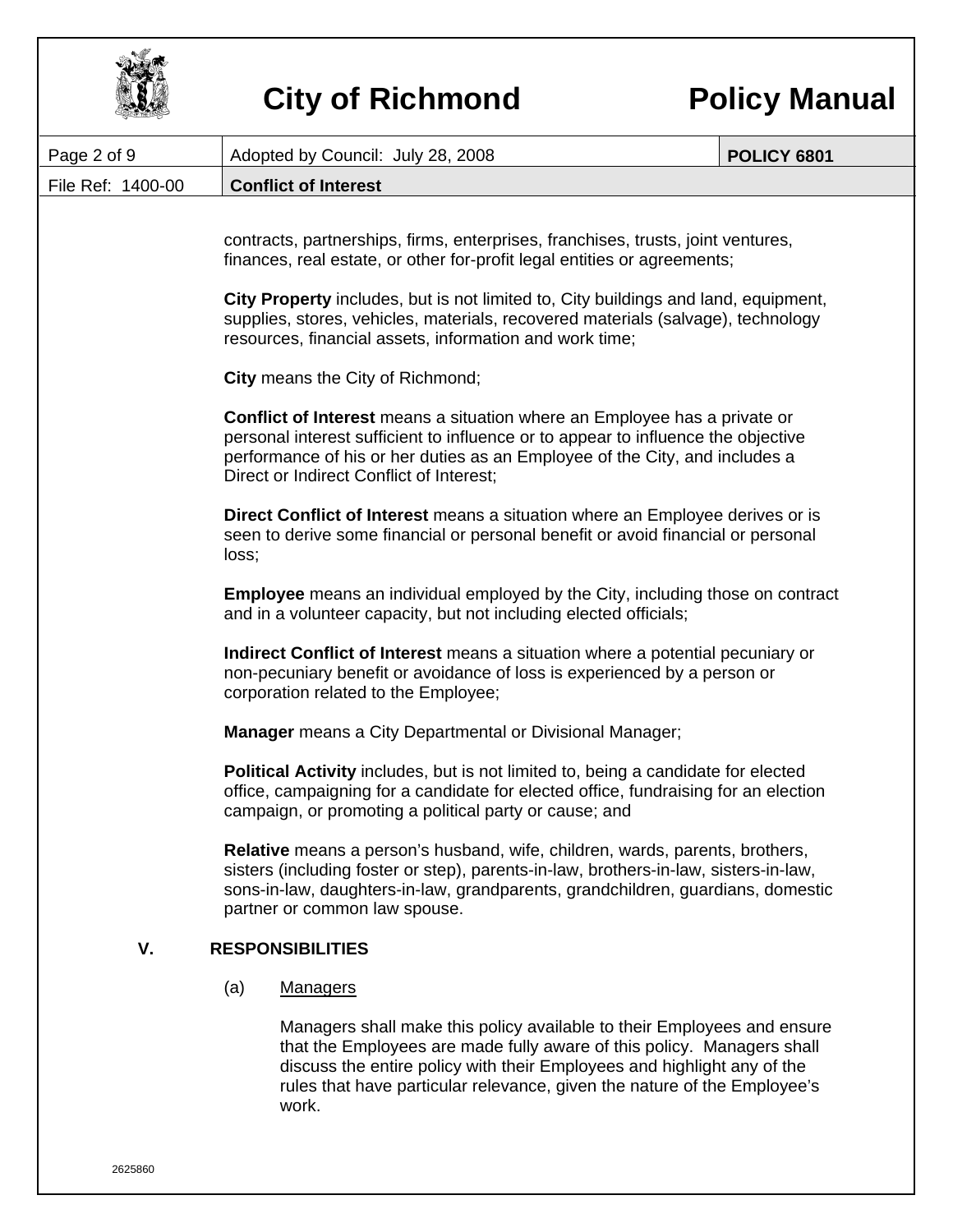| Page 2 of 9       | <b>POLICY 6801</b><br>Adopted by Council: July 28, 2008                                                                                                                                                                                                                                                                                                                                                                             |  |  |  |
|-------------------|-------------------------------------------------------------------------------------------------------------------------------------------------------------------------------------------------------------------------------------------------------------------------------------------------------------------------------------------------------------------------------------------------------------------------------------|--|--|--|
| File Ref: 1400-00 | <b>Conflict of Interest</b>                                                                                                                                                                                                                                                                                                                                                                                                         |  |  |  |
|                   | contracts, partnerships, firms, enterprises, franchises, trusts, joint ventures,<br>finances, real estate, or other for-profit legal entities or agreements;<br>City Property includes, but is not limited to, City buildings and land, equipment,<br>supplies, stores, vehicles, materials, recovered materials (salvage), technology                                                                                              |  |  |  |
|                   | resources, financial assets, information and work time;                                                                                                                                                                                                                                                                                                                                                                             |  |  |  |
|                   | City means the City of Richmond;                                                                                                                                                                                                                                                                                                                                                                                                    |  |  |  |
|                   | <b>Conflict of Interest</b> means a situation where an Employee has a private or<br>personal interest sufficient to influence or to appear to influence the objective<br>performance of his or her duties as an Employee of the City, and includes a<br>Direct or Indirect Conflict of Interest;                                                                                                                                    |  |  |  |
|                   | Direct Conflict of Interest means a situation where an Employee derives or is<br>seen to derive some financial or personal benefit or avoid financial or personal<br>loss;                                                                                                                                                                                                                                                          |  |  |  |
|                   | <b>Employee</b> means an individual employed by the City, including those on contract<br>and in a volunteer capacity, but not including elected officials;<br>Indirect Conflict of Interest means a situation where a potential pecuniary or<br>non-pecuniary benefit or avoidance of loss is experienced by a person or<br>corporation related to the Employee;<br><b>Manager</b> means a City Departmental or Divisional Manager; |  |  |  |
|                   |                                                                                                                                                                                                                                                                                                                                                                                                                                     |  |  |  |
|                   |                                                                                                                                                                                                                                                                                                                                                                                                                                     |  |  |  |
|                   | <b>Political Activity</b> includes, but is not limited to, being a candidate for elected<br>office, campaigning for a candidate for elected office, fundraising for an election<br>campaign, or promoting a political party or cause; and                                                                                                                                                                                           |  |  |  |
|                   | Relative means a person's husband, wife, children, wards, parents, brothers,<br>sisters (including foster or step), parents-in-law, brothers-in-law, sisters-in-law,<br>sons-in-law, daughters-in-law, grandparents, grandchildren, guardians, domestic<br>partner or common law spouse.                                                                                                                                            |  |  |  |
| V.                | <b>RESPONSIBILITIES</b>                                                                                                                                                                                                                                                                                                                                                                                                             |  |  |  |
|                   | (a)<br><b>Managers</b>                                                                                                                                                                                                                                                                                                                                                                                                              |  |  |  |
|                   | Managers shall make this policy available to their Employees and ensure<br>that the Employees are made fully aware of this policy. Managers shall<br>discuss the entire policy with their Employees and highlight any of the<br>rules that have particular relevance, given the nature of the Employee's<br>work.                                                                                                                   |  |  |  |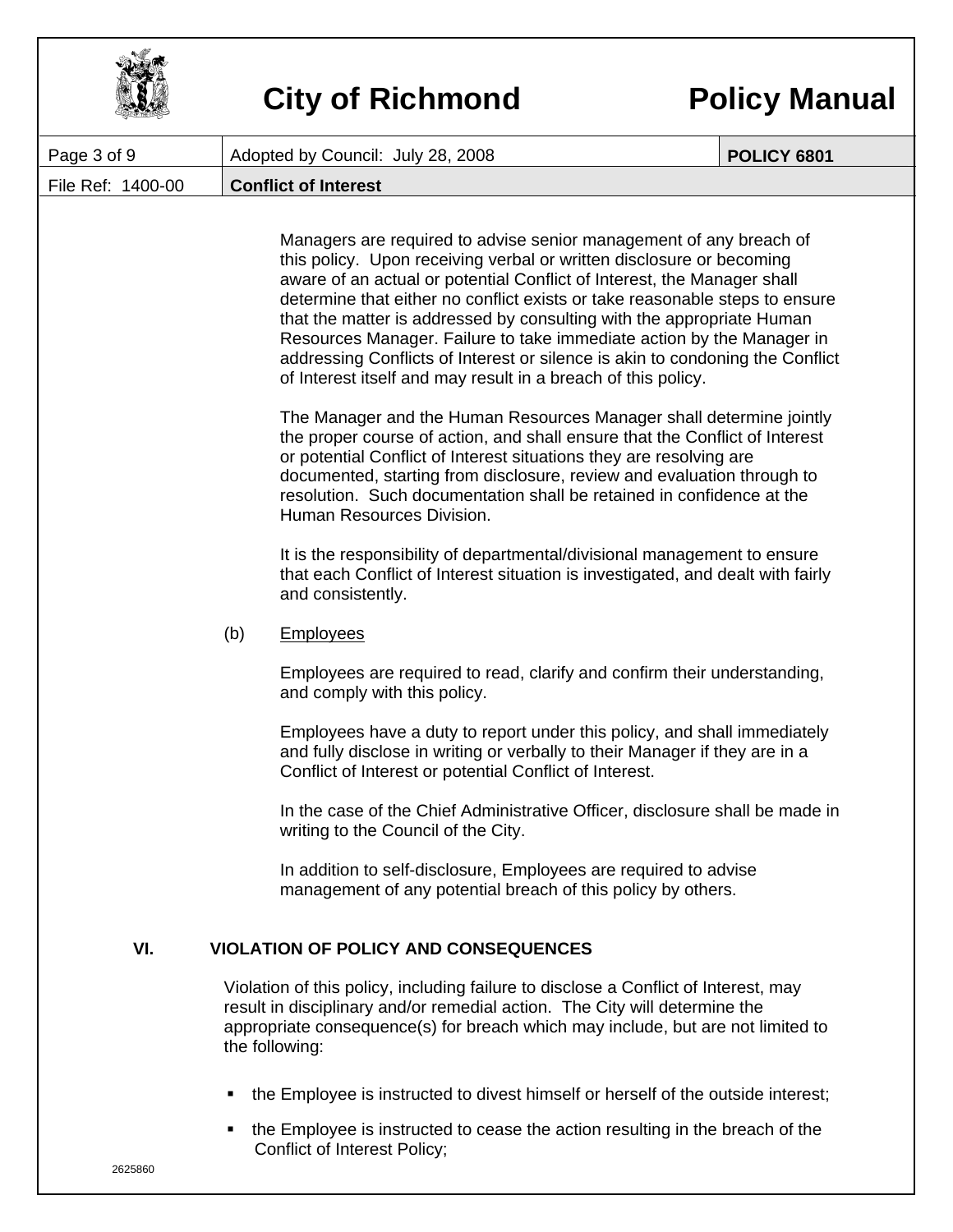| Page 3 of 9       |     | Adopted by Council: July 28, 2008                                                                                                                                                                                                                                                                                                                                                                                                                                                                                                                                                                        | <b>POLICY 6801</b> |
|-------------------|-----|----------------------------------------------------------------------------------------------------------------------------------------------------------------------------------------------------------------------------------------------------------------------------------------------------------------------------------------------------------------------------------------------------------------------------------------------------------------------------------------------------------------------------------------------------------------------------------------------------------|--------------------|
| File Ref: 1400-00 |     | <b>Conflict of Interest</b>                                                                                                                                                                                                                                                                                                                                                                                                                                                                                                                                                                              |                    |
|                   |     | Managers are required to advise senior management of any breach of<br>this policy. Upon receiving verbal or written disclosure or becoming<br>aware of an actual or potential Conflict of Interest, the Manager shall<br>determine that either no conflict exists or take reasonable steps to ensure<br>that the matter is addressed by consulting with the appropriate Human<br>Resources Manager. Failure to take immediate action by the Manager in<br>addressing Conflicts of Interest or silence is akin to condoning the Conflict<br>of Interest itself and may result in a breach of this policy. |                    |
|                   |     | The Manager and the Human Resources Manager shall determine jointly<br>the proper course of action, and shall ensure that the Conflict of Interest<br>or potential Conflict of Interest situations they are resolving are<br>documented, starting from disclosure, review and evaluation through to<br>resolution. Such documentation shall be retained in confidence at the<br>Human Resources Division.                                                                                                                                                                                                |                    |
|                   |     | It is the responsibility of departmental/divisional management to ensure<br>that each Conflict of Interest situation is investigated, and dealt with fairly<br>and consistently.                                                                                                                                                                                                                                                                                                                                                                                                                         |                    |
|                   | (b) | <b>Employees</b>                                                                                                                                                                                                                                                                                                                                                                                                                                                                                                                                                                                         |                    |
|                   |     | Employees are required to read, clarify and confirm their understanding,<br>and comply with this policy.                                                                                                                                                                                                                                                                                                                                                                                                                                                                                                 |                    |
|                   |     | Employees have a duty to report under this policy, and shall immediately<br>and fully disclose in writing or verbally to their Manager if they are in a<br>Conflict of Interest or potential Conflict of Interest.                                                                                                                                                                                                                                                                                                                                                                                       |                    |
|                   |     | In the case of the Chief Administrative Officer, disclosure shall be made in<br>writing to the Council of the City.                                                                                                                                                                                                                                                                                                                                                                                                                                                                                      |                    |
|                   |     | In addition to self-disclosure, Employees are required to advise<br>management of any potential breach of this policy by others.                                                                                                                                                                                                                                                                                                                                                                                                                                                                         |                    |
| VI.               |     | <b>VIOLATION OF POLICY AND CONSEQUENCES</b>                                                                                                                                                                                                                                                                                                                                                                                                                                                                                                                                                              |                    |
|                   |     | Violation of this policy, including failure to disclose a Conflict of Interest, may<br>result in disciplinary and/or remedial action. The City will determine the<br>appropriate consequence(s) for breach which may include, but are not limited to<br>the following:                                                                                                                                                                                                                                                                                                                                   |                    |
|                   | ٠   | the Employee is instructed to divest himself or herself of the outside interest;                                                                                                                                                                                                                                                                                                                                                                                                                                                                                                                         |                    |

the Employee is instructed to cease the action resulting in the breach of the Conflict of Interest Policy;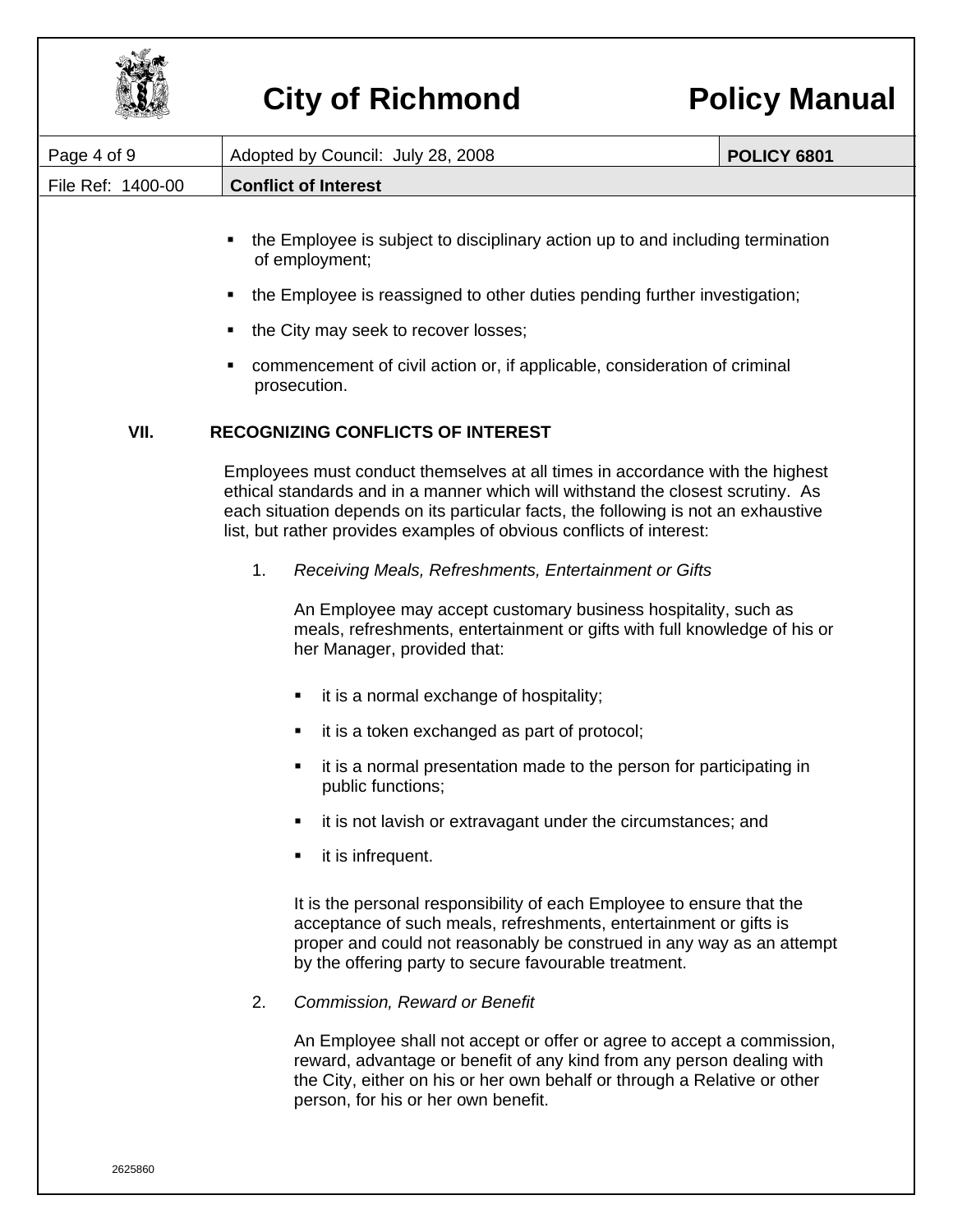

| Page 4 of 9       | Adopted by Council: July 28, 2008                                                                                                                                                                                                                                                                                              | <b>POLICY 6801</b> |  |  |  |
|-------------------|--------------------------------------------------------------------------------------------------------------------------------------------------------------------------------------------------------------------------------------------------------------------------------------------------------------------------------|--------------------|--|--|--|
| File Ref: 1400-00 | <b>Conflict of Interest</b>                                                                                                                                                                                                                                                                                                    |                    |  |  |  |
|                   | the Employee is subject to disciplinary action up to and including termination<br>٠<br>of employment;                                                                                                                                                                                                                          |                    |  |  |  |
|                   | the Employee is reassigned to other duties pending further investigation;<br>Е                                                                                                                                                                                                                                                 |                    |  |  |  |
|                   | the City may seek to recover losses;<br>٠                                                                                                                                                                                                                                                                                      |                    |  |  |  |
|                   | commencement of civil action or, if applicable, consideration of criminal<br>п<br>prosecution.                                                                                                                                                                                                                                 |                    |  |  |  |
| VII.              | <b>RECOGNIZING CONFLICTS OF INTEREST</b>                                                                                                                                                                                                                                                                                       |                    |  |  |  |
|                   | Employees must conduct themselves at all times in accordance with the highest<br>ethical standards and in a manner which will withstand the closest scrutiny. As<br>each situation depends on its particular facts, the following is not an exhaustive<br>list, but rather provides examples of obvious conflicts of interest: |                    |  |  |  |
|                   | 1.<br>Receiving Meals, Refreshments, Entertainment or Gifts                                                                                                                                                                                                                                                                    |                    |  |  |  |
|                   | An Employee may accept customary business hospitality, such as<br>meals, refreshments, entertainment or gifts with full knowledge of his or<br>her Manager, provided that:                                                                                                                                                     |                    |  |  |  |
|                   | it is a normal exchange of hospitality;<br>٠                                                                                                                                                                                                                                                                                   |                    |  |  |  |
|                   | it is a token exchanged as part of protocol;<br>п                                                                                                                                                                                                                                                                              |                    |  |  |  |
|                   | it is a normal presentation made to the person for participating in<br>٠<br>public functions;                                                                                                                                                                                                                                  |                    |  |  |  |
|                   | it is not lavish or extravagant under the circumstances; and<br>п                                                                                                                                                                                                                                                              |                    |  |  |  |
|                   | it is infrequent.                                                                                                                                                                                                                                                                                                              |                    |  |  |  |
|                   | It is the personal responsibility of each Employee to ensure that the<br>acceptance of such meals, refreshments, entertainment or gifts is<br>proper and could not reasonably be construed in any way as an attempt<br>by the offering party to secure favourable treatment.                                                   |                    |  |  |  |
|                   | 2.<br>Commission, Reward or Benefit                                                                                                                                                                                                                                                                                            |                    |  |  |  |
|                   | An Employee shall not accept or offer or agree to accept a commission,<br>reward, advantage or benefit of any kind from any person dealing with<br>the City, either on his or her own behalf or through a Relative or other<br>person, for his or her own benefit.                                                             |                    |  |  |  |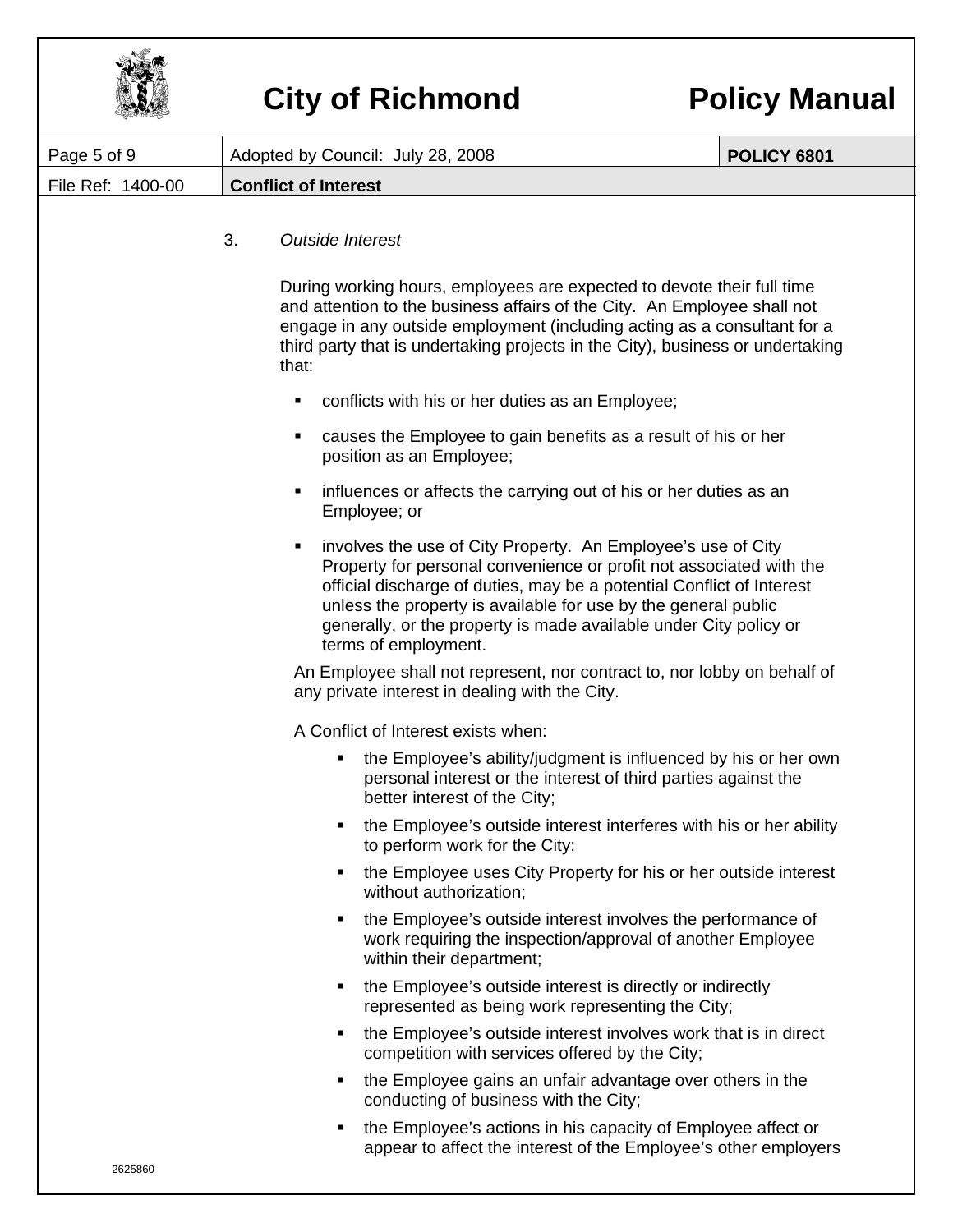

| Page 5 of 9       | Adopted by Council: July 28, 2008                                                                                                                                                                                                                                                                                         |                                                                                                                                                                                                                                                                                                                                                     | <b>POLICY 6801</b> |  |
|-------------------|---------------------------------------------------------------------------------------------------------------------------------------------------------------------------------------------------------------------------------------------------------------------------------------------------------------------------|-----------------------------------------------------------------------------------------------------------------------------------------------------------------------------------------------------------------------------------------------------------------------------------------------------------------------------------------------------|--------------------|--|
| File Ref: 1400-00 | <b>Conflict of Interest</b>                                                                                                                                                                                                                                                                                               |                                                                                                                                                                                                                                                                                                                                                     |                    |  |
|                   | 3.<br><b>Outside Interest</b>                                                                                                                                                                                                                                                                                             |                                                                                                                                                                                                                                                                                                                                                     |                    |  |
|                   | During working hours, employees are expected to devote their full time<br>and attention to the business affairs of the City. An Employee shall not<br>engage in any outside employment (including acting as a consultant for a<br>third party that is undertaking projects in the City), business or undertaking<br>that: |                                                                                                                                                                                                                                                                                                                                                     |                    |  |
|                   | ٠                                                                                                                                                                                                                                                                                                                         | conflicts with his or her duties as an Employee;                                                                                                                                                                                                                                                                                                    |                    |  |
|                   | ٠<br>position as an Employee;                                                                                                                                                                                                                                                                                             | causes the Employee to gain benefits as a result of his or her                                                                                                                                                                                                                                                                                      |                    |  |
|                   | ٠<br>Employee; or                                                                                                                                                                                                                                                                                                         | influences or affects the carrying out of his or her duties as an                                                                                                                                                                                                                                                                                   |                    |  |
|                   | ٠<br>terms of employment.                                                                                                                                                                                                                                                                                                 | involves the use of City Property. An Employee's use of City<br>Property for personal convenience or profit not associated with the<br>official discharge of duties, may be a potential Conflict of Interest<br>unless the property is available for use by the general public<br>generally, or the property is made available under City policy or |                    |  |
|                   | An Employee shall not represent, nor contract to, nor lobby on behalf of<br>any private interest in dealing with the City.                                                                                                                                                                                                |                                                                                                                                                                                                                                                                                                                                                     |                    |  |
|                   | A Conflict of Interest exists when:                                                                                                                                                                                                                                                                                       |                                                                                                                                                                                                                                                                                                                                                     |                    |  |
|                   | ٠<br>better interest of the City;                                                                                                                                                                                                                                                                                         | the Employee's ability/judgment is influenced by his or her own<br>personal interest or the interest of third parties against the                                                                                                                                                                                                                   |                    |  |
|                   | ٠                                                                                                                                                                                                                                                                                                                         | the Employee's outside interest interferes with his or her ability<br>to perform work for the City;                                                                                                                                                                                                                                                 |                    |  |
|                   | ٠<br>without authorization;                                                                                                                                                                                                                                                                                               | the Employee uses City Property for his or her outside interest                                                                                                                                                                                                                                                                                     |                    |  |
|                   | ٠<br>within their department;                                                                                                                                                                                                                                                                                             | the Employee's outside interest involves the performance of<br>work requiring the inspection/approval of another Employee                                                                                                                                                                                                                           |                    |  |
|                   | ٠                                                                                                                                                                                                                                                                                                                         | the Employee's outside interest is directly or indirectly<br>represented as being work representing the City;                                                                                                                                                                                                                                       |                    |  |
|                   | ٠                                                                                                                                                                                                                                                                                                                         | the Employee's outside interest involves work that is in direct<br>competition with services offered by the City;                                                                                                                                                                                                                                   |                    |  |
|                   | ٠                                                                                                                                                                                                                                                                                                                         | the Employee gains an unfair advantage over others in the<br>conducting of business with the City;                                                                                                                                                                                                                                                  |                    |  |
|                   |                                                                                                                                                                                                                                                                                                                           | the Employee's actions in his capacity of Employee affect or<br>appear to affect the interest of the Employee's other employers                                                                                                                                                                                                                     |                    |  |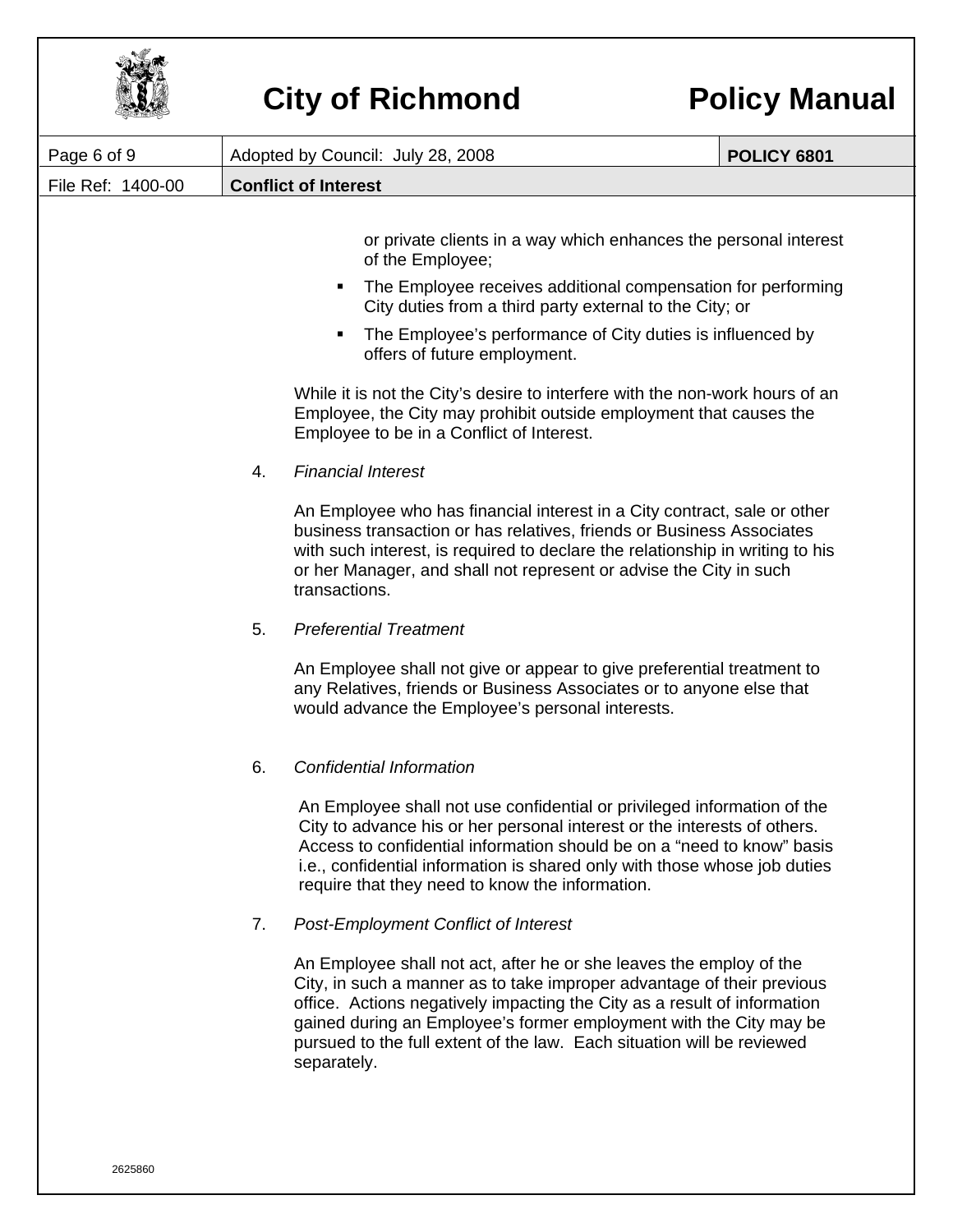

| Page 6 of 9       | Adopted by Council: July 28, 2008 |                                                                                                                                                                                                                                                                                                                                                                                          | <b>POLICY 6801</b> |
|-------------------|-----------------------------------|------------------------------------------------------------------------------------------------------------------------------------------------------------------------------------------------------------------------------------------------------------------------------------------------------------------------------------------------------------------------------------------|--------------------|
| File Ref: 1400-00 | <b>Conflict of Interest</b>       |                                                                                                                                                                                                                                                                                                                                                                                          |                    |
|                   |                                   | or private clients in a way which enhances the personal interest<br>of the Employee;<br>The Employee receives additional compensation for performing<br>٠                                                                                                                                                                                                                                |                    |
|                   |                                   | City duties from a third party external to the City; or<br>The Employee's performance of City duties is influenced by<br>offers of future employment.                                                                                                                                                                                                                                    |                    |
|                   |                                   | While it is not the City's desire to interfere with the non-work hours of an<br>Employee, the City may prohibit outside employment that causes the<br>Employee to be in a Conflict of Interest.                                                                                                                                                                                          |                    |
|                   | 4.                                | <b>Financial Interest</b>                                                                                                                                                                                                                                                                                                                                                                |                    |
|                   |                                   | An Employee who has financial interest in a City contract, sale or other<br>business transaction or has relatives, friends or Business Associates<br>with such interest, is required to declare the relationship in writing to his<br>or her Manager, and shall not represent or advise the City in such<br>transactions.                                                                |                    |
|                   | 5.                                | <b>Preferential Treatment</b>                                                                                                                                                                                                                                                                                                                                                            |                    |
|                   |                                   | An Employee shall not give or appear to give preferential treatment to<br>any Relatives, friends or Business Associates or to anyone else that<br>would advance the Employee's personal interests.                                                                                                                                                                                       |                    |
|                   | 6.                                | <b>Confidential Information</b>                                                                                                                                                                                                                                                                                                                                                          |                    |
|                   |                                   | An Employee shall not use confidential or privileged information of the<br>City to advance his or her personal interest or the interests of others.<br>Access to confidential information should be on a "need to know" basis<br>i.e., confidential information is shared only with those whose job duties<br>require that they need to know the information.                            |                    |
|                   | 7.                                | <b>Post-Employment Conflict of Interest</b>                                                                                                                                                                                                                                                                                                                                              |                    |
|                   |                                   | An Employee shall not act, after he or she leaves the employ of the<br>City, in such a manner as to take improper advantage of their previous<br>office. Actions negatively impacting the City as a result of information<br>gained during an Employee's former employment with the City may be<br>pursued to the full extent of the law. Each situation will be reviewed<br>separately. |                    |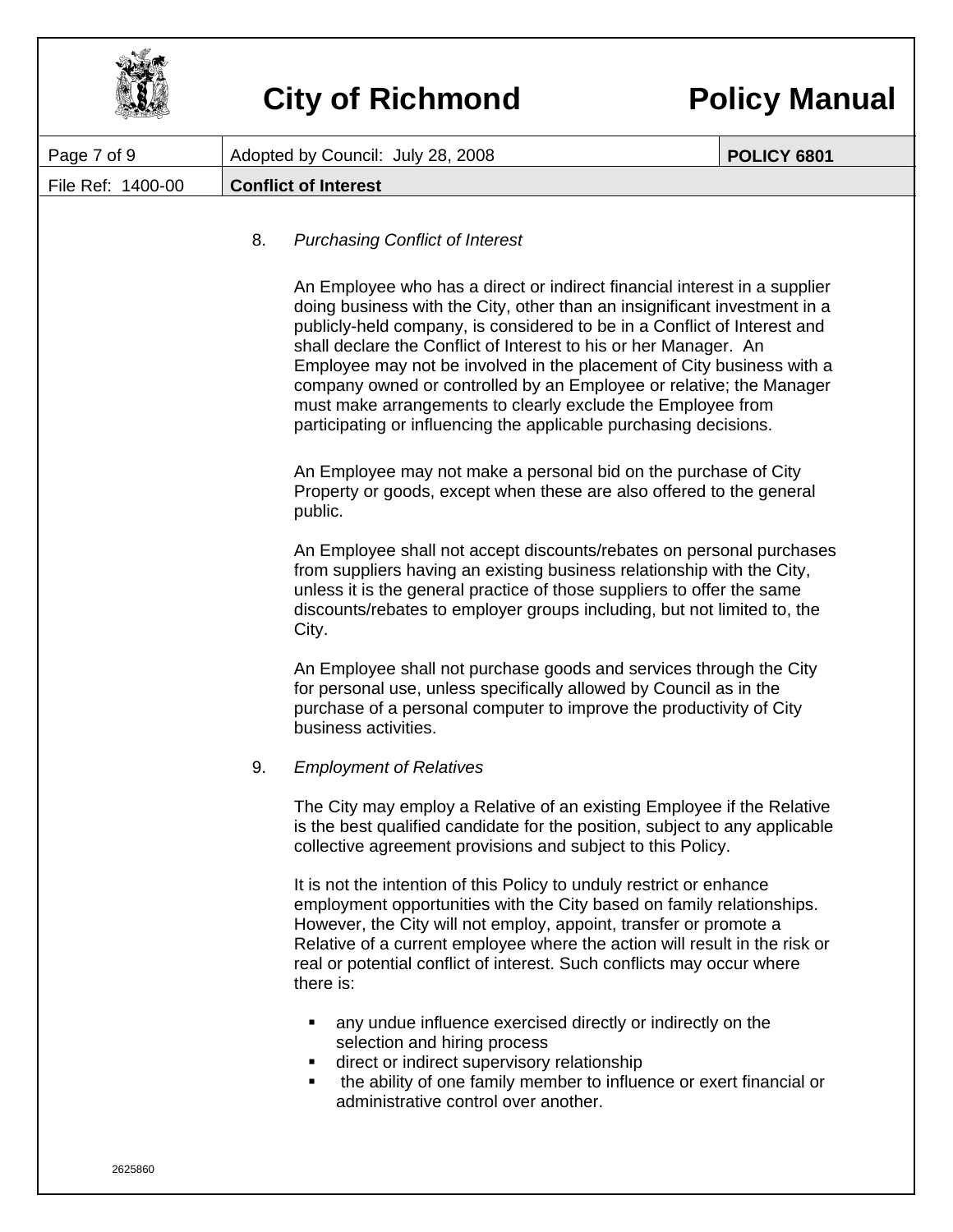

| Page 7 of 9       | Adopted by Council: July 28, 2008                                                                                                                                                                                                                                                                                                                                                       | <b>POLICY 6801</b>                                                                                                                                                                                                                                                                                                                                                                                                                                                                                                                                                                         |  |  |
|-------------------|-----------------------------------------------------------------------------------------------------------------------------------------------------------------------------------------------------------------------------------------------------------------------------------------------------------------------------------------------------------------------------------------|--------------------------------------------------------------------------------------------------------------------------------------------------------------------------------------------------------------------------------------------------------------------------------------------------------------------------------------------------------------------------------------------------------------------------------------------------------------------------------------------------------------------------------------------------------------------------------------------|--|--|
| File Ref: 1400-00 | <b>Conflict of Interest</b>                                                                                                                                                                                                                                                                                                                                                             |                                                                                                                                                                                                                                                                                                                                                                                                                                                                                                                                                                                            |  |  |
|                   | <b>Purchasing Conflict of Interest</b><br>8.                                                                                                                                                                                                                                                                                                                                            |                                                                                                                                                                                                                                                                                                                                                                                                                                                                                                                                                                                            |  |  |
|                   |                                                                                                                                                                                                                                                                                                                                                                                         | An Employee who has a direct or indirect financial interest in a supplier<br>doing business with the City, other than an insignificant investment in a<br>publicly-held company, is considered to be in a Conflict of Interest and<br>shall declare the Conflict of Interest to his or her Manager. An<br>Employee may not be involved in the placement of City business with a<br>company owned or controlled by an Employee or relative; the Manager<br>must make arrangements to clearly exclude the Employee from<br>participating or influencing the applicable purchasing decisions. |  |  |
|                   | An Employee may not make a personal bid on the purchase of City<br>Property or goods, except when these are also offered to the general<br>public.                                                                                                                                                                                                                                      |                                                                                                                                                                                                                                                                                                                                                                                                                                                                                                                                                                                            |  |  |
|                   | An Employee shall not accept discounts/rebates on personal purchases<br>from suppliers having an existing business relationship with the City,<br>unless it is the general practice of those suppliers to offer the same<br>discounts/rebates to employer groups including, but not limited to, the<br>City.                                                                            |                                                                                                                                                                                                                                                                                                                                                                                                                                                                                                                                                                                            |  |  |
|                   | An Employee shall not purchase goods and services through the City<br>for personal use, unless specifically allowed by Council as in the<br>purchase of a personal computer to improve the productivity of City<br>business activities.                                                                                                                                                 |                                                                                                                                                                                                                                                                                                                                                                                                                                                                                                                                                                                            |  |  |
|                   | 9.<br><b>Employment of Relatives</b>                                                                                                                                                                                                                                                                                                                                                    |                                                                                                                                                                                                                                                                                                                                                                                                                                                                                                                                                                                            |  |  |
|                   | The City may employ a Relative of an existing Employee if the Relative<br>is the best qualified candidate for the position, subject to any applicable<br>collective agreement provisions and subject to this Policy.                                                                                                                                                                    |                                                                                                                                                                                                                                                                                                                                                                                                                                                                                                                                                                                            |  |  |
|                   | It is not the intention of this Policy to unduly restrict or enhance<br>employment opportunities with the City based on family relationships.<br>However, the City will not employ, appoint, transfer or promote a<br>Relative of a current employee where the action will result in the risk or<br>real or potential conflict of interest. Such conflicts may occur where<br>there is: |                                                                                                                                                                                                                                                                                                                                                                                                                                                                                                                                                                                            |  |  |
|                   | any undue influence exercised directly or indirectly on the<br>٠<br>selection and hiring process<br>direct or indirect supervisory relationship<br>п<br>the ability of one family member to influence or exert financial or<br>٠<br>administrative control over another.                                                                                                                |                                                                                                                                                                                                                                                                                                                                                                                                                                                                                                                                                                                            |  |  |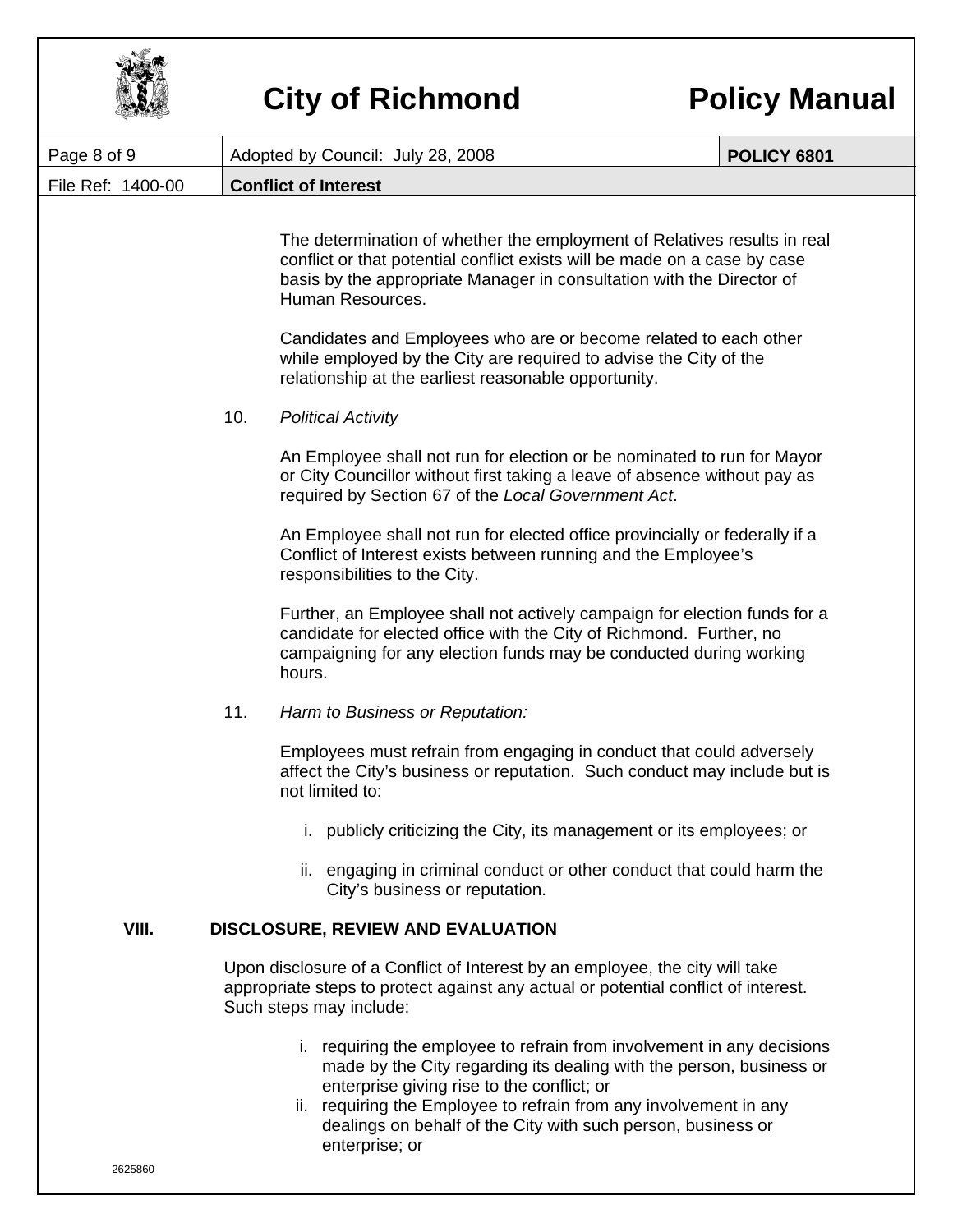

| Page 8 of 9       | Adopted by Council: July 28, 2008                                                                                                                                                                                                                                                                                                                  | <b>POLICY 6801</b>                                                                                                                                                                                                             |  |  |
|-------------------|----------------------------------------------------------------------------------------------------------------------------------------------------------------------------------------------------------------------------------------------------------------------------------------------------------------------------------------------------|--------------------------------------------------------------------------------------------------------------------------------------------------------------------------------------------------------------------------------|--|--|
| File Ref: 1400-00 | <b>Conflict of Interest</b>                                                                                                                                                                                                                                                                                                                        |                                                                                                                                                                                                                                |  |  |
|                   | Human Resources.                                                                                                                                                                                                                                                                                                                                   | The determination of whether the employment of Relatives results in real<br>conflict or that potential conflict exists will be made on a case by case<br>basis by the appropriate Manager in consultation with the Director of |  |  |
|                   | Candidates and Employees who are or become related to each other<br>while employed by the City are required to advise the City of the<br>relationship at the earliest reasonable opportunity.                                                                                                                                                      |                                                                                                                                                                                                                                |  |  |
|                   | 10.<br><b>Political Activity</b>                                                                                                                                                                                                                                                                                                                   |                                                                                                                                                                                                                                |  |  |
|                   | An Employee shall not run for election or be nominated to run for Mayor<br>or City Councillor without first taking a leave of absence without pay as<br>required by Section 67 of the Local Government Act.                                                                                                                                        |                                                                                                                                                                                                                                |  |  |
|                   | An Employee shall not run for elected office provincially or federally if a<br>Conflict of Interest exists between running and the Employee's<br>responsibilities to the City.                                                                                                                                                                     |                                                                                                                                                                                                                                |  |  |
|                   | Further, an Employee shall not actively campaign for election funds for a<br>candidate for elected office with the City of Richmond. Further, no<br>campaigning for any election funds may be conducted during working<br>hours.                                                                                                                   |                                                                                                                                                                                                                                |  |  |
|                   | 11.<br>Harm to Business or Reputation:                                                                                                                                                                                                                                                                                                             |                                                                                                                                                                                                                                |  |  |
|                   | Employees must refrain from engaging in conduct that could adversely<br>affect the City's business or reputation. Such conduct may include but is<br>not limited to:                                                                                                                                                                               |                                                                                                                                                                                                                                |  |  |
|                   | i. publicly criticizing the City, its management or its employees; or                                                                                                                                                                                                                                                                              |                                                                                                                                                                                                                                |  |  |
|                   | ii. engaging in criminal conduct or other conduct that could harm the<br>City's business or reputation.                                                                                                                                                                                                                                            |                                                                                                                                                                                                                                |  |  |
| VIII.             | <b>DISCLOSURE, REVIEW AND EVALUATION</b>                                                                                                                                                                                                                                                                                                           |                                                                                                                                                                                                                                |  |  |
|                   | Upon disclosure of a Conflict of Interest by an employee, the city will take<br>appropriate steps to protect against any actual or potential conflict of interest.<br>Such steps may include:                                                                                                                                                      |                                                                                                                                                                                                                                |  |  |
|                   | i. requiring the employee to refrain from involvement in any decisions<br>made by the City regarding its dealing with the person, business or<br>enterprise giving rise to the conflict; or<br>ii. requiring the Employee to refrain from any involvement in any<br>dealings on behalf of the City with such person, business or<br>enterprise; or |                                                                                                                                                                                                                                |  |  |